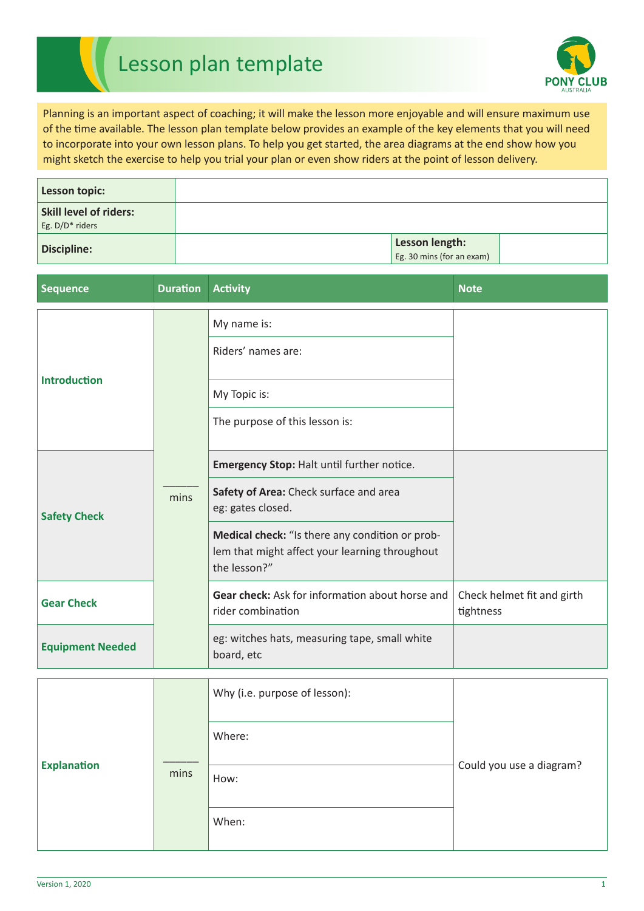## Lesson plan template



Planning is an important aspect of coaching; it will make the lesson more enjoyable and will ensure maximum use of the time available. The lesson plan template below provides an example of the key elements that you will need to incorporate into your own lesson plans. To help you get started, the area diagrams at the end show how you might sketch the exercise to help you trial your plan or even show riders at the point of lesson delivery.

| Lesson topic:                                    |                                                    |  |
|--------------------------------------------------|----------------------------------------------------|--|
| <b>Skill level of riders:</b><br>Eg. D/D* riders |                                                    |  |
| <b>Discipline:</b>                               | <b>Lesson length:</b><br>Eg. 30 mins (for an exam) |  |

| <b>Sequence</b>         | <b>Duration</b> | <b>Activity</b>                                                                                                   | <b>Note</b>                             |
|-------------------------|-----------------|-------------------------------------------------------------------------------------------------------------------|-----------------------------------------|
| <b>Introduction</b>     |                 | My name is:                                                                                                       |                                         |
|                         |                 | Riders' names are:                                                                                                |                                         |
|                         |                 | My Topic is:                                                                                                      |                                         |
|                         |                 | The purpose of this lesson is:                                                                                    |                                         |
| <b>Safety Check</b>     |                 | Emergency Stop: Halt until further notice.                                                                        |                                         |
|                         | mins            | Safety of Area: Check surface and area<br>eg: gates closed.                                                       |                                         |
|                         |                 | Medical check: "Is there any condition or prob-<br>lem that might affect your learning throughout<br>the lesson?" |                                         |
| <b>Gear Check</b>       |                 | <b>Gear check:</b> Ask for information about horse and<br>rider combination                                       | Check helmet fit and girth<br>tightness |
| <b>Equipment Needed</b> |                 | eg: witches hats, measuring tape, small white<br>board, etc                                                       |                                         |

|                    |      | Why (i.e. purpose of lesson):<br>Where: |                          |
|--------------------|------|-----------------------------------------|--------------------------|
| <b>Explanation</b> | mins | How:                                    | Could you use a diagram? |
|                    |      | When:                                   |                          |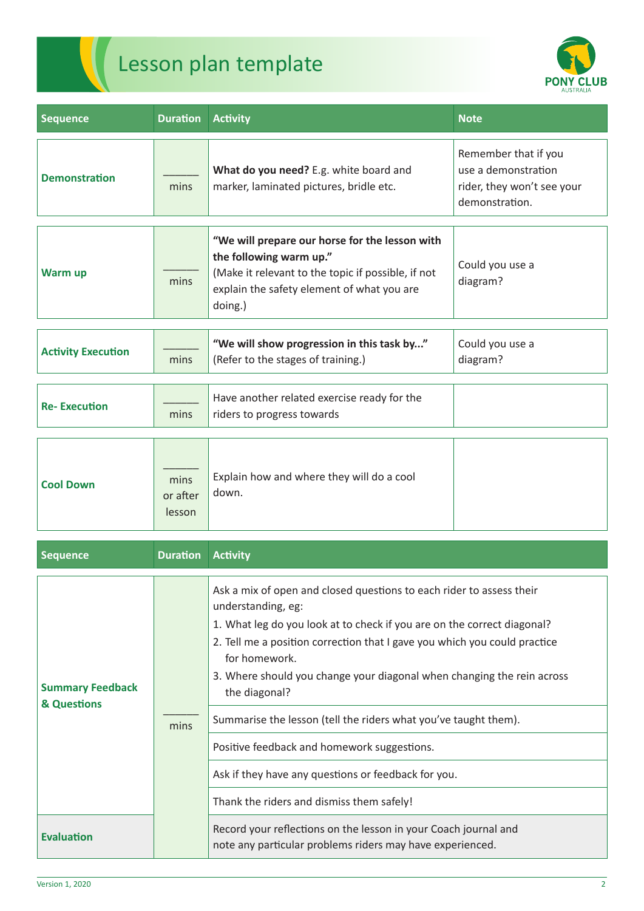



| <b>Sequence</b>           | <b>Duration</b>            | <b>Activity</b>                                                                                                                                                                          | <b>Note</b>                                                                                 |
|---------------------------|----------------------------|------------------------------------------------------------------------------------------------------------------------------------------------------------------------------------------|---------------------------------------------------------------------------------------------|
| <b>Demonstration</b>      | mins                       | What do you need? E.g. white board and<br>marker, laminated pictures, bridle etc.                                                                                                        | Remember that if you<br>use a demonstration<br>rider, they won't see your<br>demonstration. |
| <b>Warm up</b>            | mins                       | "We will prepare our horse for the lesson with<br>the following warm up."<br>(Make it relevant to the topic if possible, if not<br>explain the safety element of what you are<br>doing.) | Could you use a<br>diagram?                                                                 |
| <b>Activity Execution</b> | mins                       | "We will show progression in this task by"<br>(Refer to the stages of training.)                                                                                                         | Could you use a<br>diagram?                                                                 |
| <b>Re-Execution</b>       | mins                       | Have another related exercise ready for the<br>riders to progress towards                                                                                                                |                                                                                             |
| <b>Cool Down</b>          | mins<br>or after<br>lesson | Explain how and where they will do a cool<br>down.                                                                                                                                       |                                                                                             |

| <b>Sequence</b>                        | <b>Duration</b> | <b>Activity</b>                                                                                                                                                                                                                                                                                                                                                                                                                                                                                                                                                                      |
|----------------------------------------|-----------------|--------------------------------------------------------------------------------------------------------------------------------------------------------------------------------------------------------------------------------------------------------------------------------------------------------------------------------------------------------------------------------------------------------------------------------------------------------------------------------------------------------------------------------------------------------------------------------------|
| <b>Summary Feedback</b><br>& Questions | mins            | Ask a mix of open and closed questions to each rider to assess their<br>understanding, eg:<br>1. What leg do you look at to check if you are on the correct diagonal?<br>2. Tell me a position correction that I gave you which you could practice<br>for homework.<br>3. Where should you change your diagonal when changing the rein across<br>the diagonal?<br>Summarise the lesson (tell the riders what you've taught them).<br>Positive feedback and homework suggestions.<br>Ask if they have any questions or feedback for you.<br>Thank the riders and dismiss them safely! |
| <b>Evaluation</b>                      |                 | Record your reflections on the lesson in your Coach journal and<br>note any particular problems riders may have experienced.                                                                                                                                                                                                                                                                                                                                                                                                                                                         |